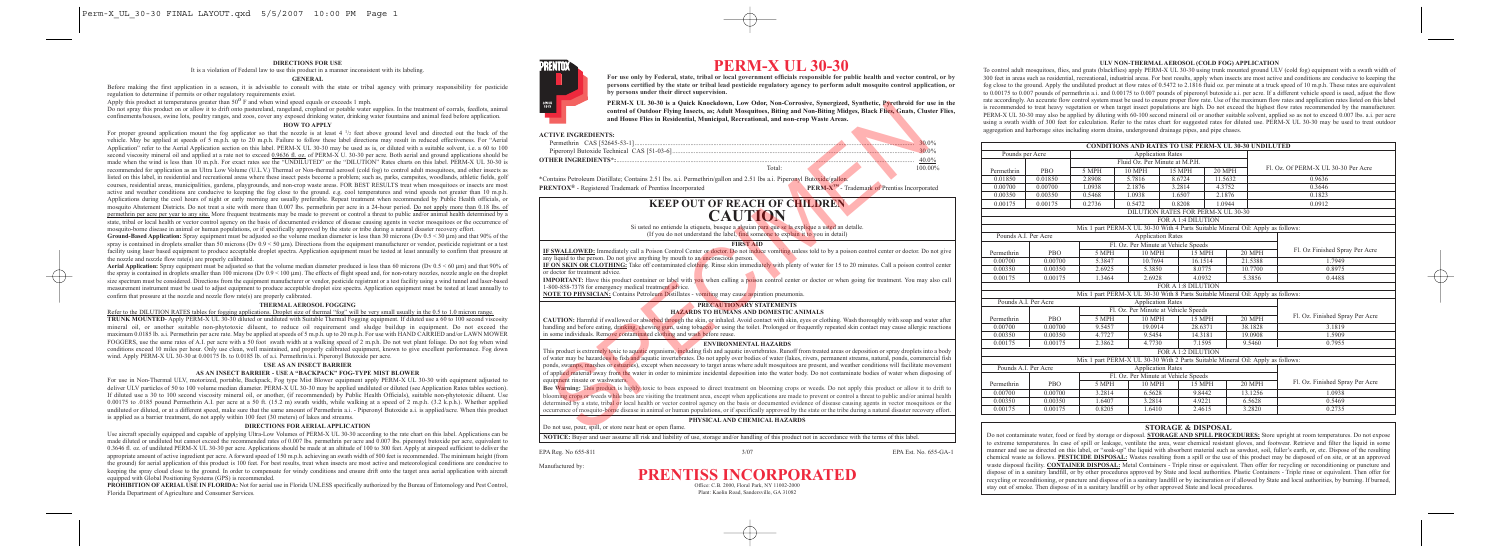

# **PERM-X UL 30-30**

**For use only by Federal, state, tribal or local government officials responsible for public health and vector control, or by persons certified by the state or tribal lead pesticide regulatory agency to perform adult mosquito control application, or by persons under their direct supervision.**

**PERM-X UL 30-30 is a Quick Knockdown, Low Odor, Non-Corrosive, Synergized, Synthetic, Pyrethroid for use in the control of Outdoor Flying Insects, as; Adult Mosquitoes, Biting and Non-Biting Midges, Black Flies, Gnats, Cluster Flies, and House Flies in Residential, Municipal, Recreational, and non-crop Waste Areas.**

## **ACTIVE INGREDIENTS:**

Permethrin CAS [52645-53-1] Piperonyl Butoxide Technical CAS [51-03-6]................................................................................................................................................... 30.0%

**OTHER INGREDIENTS\*:**..................................................................................................................................................................................... 40.0%

Total: 100.00%

\*Contains Petroleum Distillate; Contains 2.51 lbs. a.i. Permethrin/gallon and 2.51 lbs a.i. Piperonyl Butoxide/gallon. **PRENTOX<sup>®</sup>** - Registered Trademark of Prentiss Incorporated **PERM-X<sup>™</sup>** - Trademark of Prentiss Incorporated

# **KEEP OUT OF REACH OF CHILDREN CAUTION** Si usted no entiende la etiqueta, busque a alguian para que se la explique a usted an detalle.

(If you do not understand the label, find someone to explain it to you in detail)

#### **FIRST AID**

**IF SWALLOWED:** Immediately call a Poison Control Center or doctor. Do not induce vomiting unless told to by a poison control center or doctor. Do not give any liquid to the person. Do not give anything by mouth to an unconscious person.

**IF ON SKIN OR CLOTHING:** Take off contaminated clothing. Rinse skin immediately with plenty of water for 15 to 20 minutes. Call a poison control center or doctor for treatment advice.

**IMPORTANT:** Have this product container or label with you when calling a poison control center or doctor or when going for treatment. You may also call 1-800-858-7378 for emergency medical treatment advice.

**NOTE TO PHYSICIAN:** Contains Petroleum Distillates - vomiting may cause aspiration pneumonia.

# **PRECAUTIONARY STATEMENTS**

**HAZARDS TO HUMANS AND DOMESTIC ANIMALS**

**CAUTION:** Harmful if swallowed or absorbed through the skin, or inhaled. Avoid contact with skin, eyes or clothing. Wash thoroughly with soap and water after handling and before eating, drinking, chewing gum, using tobacco, or using the toilet. Prolonged or frequently repeated skin contact may cause allergic reactions in some individuals. Remove contaminated clothing and wash before reuse.

# **ENVIRONMENTAL HAZARDS**

This product is extremely toxic to aquatic organisms, including fish and aquatic invertebrates. Runoff from treated areas or deposition or spray droplets into a body of water may be hazardous to fish and aquatic invertebrates. Do not apply over bodies of water (lakes, rivers, permanent streams, natural, ponds, commercial fish ponds, swamps, marshes or estuaries), except when necessary to target areas where adult mosquitoes are present, and weather conditions will facilitate movement of applied material away from the water in order to minimize incidental deposition into the water body. Do not contaminate bodies of water when disposing of equipment rinsate or washwaters. FRANCA UNI distant a Journal of President Container of President A. I. When the Amelond of the Real President Association (1970) and the Container of President CAS (51-03-4)<br>
TIVE INCREDIENTS:<br>
THE INCREDIENTS:<br>
THE INCRED

**Bee Warning:** This product is highly toxic to bees exposed to direct treatment on blooming crops or weeds. Do not apply this product or allow it to drift to blooming crops or weeds while bees are visiting the treatment area, except when applications are made to prevent or control a threat to public and/or animal health determined by a state, tribal or local health or vector control agency on the basis or documented evidence of disease causing agents in vector mosquitoes or the occurrence of mosquito-borne disease in animal or human populations, or if specifically approved by the state or the tribe during a natural disaster recovery effort.

# **PHYSICAL AND CHEMICAL HAZARDS**

Do not use, pour, spill, or store near heat or open flame.

**NOTICE:** Buyer and user assume all risk and liability of use, storage and/or handling of this product not in accordance with the terms of this label.

EPA Reg. No 655-811 3/07 EPA Est. No. 655-GA-1 Manufactured by:

# **PRENTISS INCORPORATED** Office: C.B. 2000, Floral Park, NY 11002-2000

Plant: Kaolin Road, Sandersville, GA 31082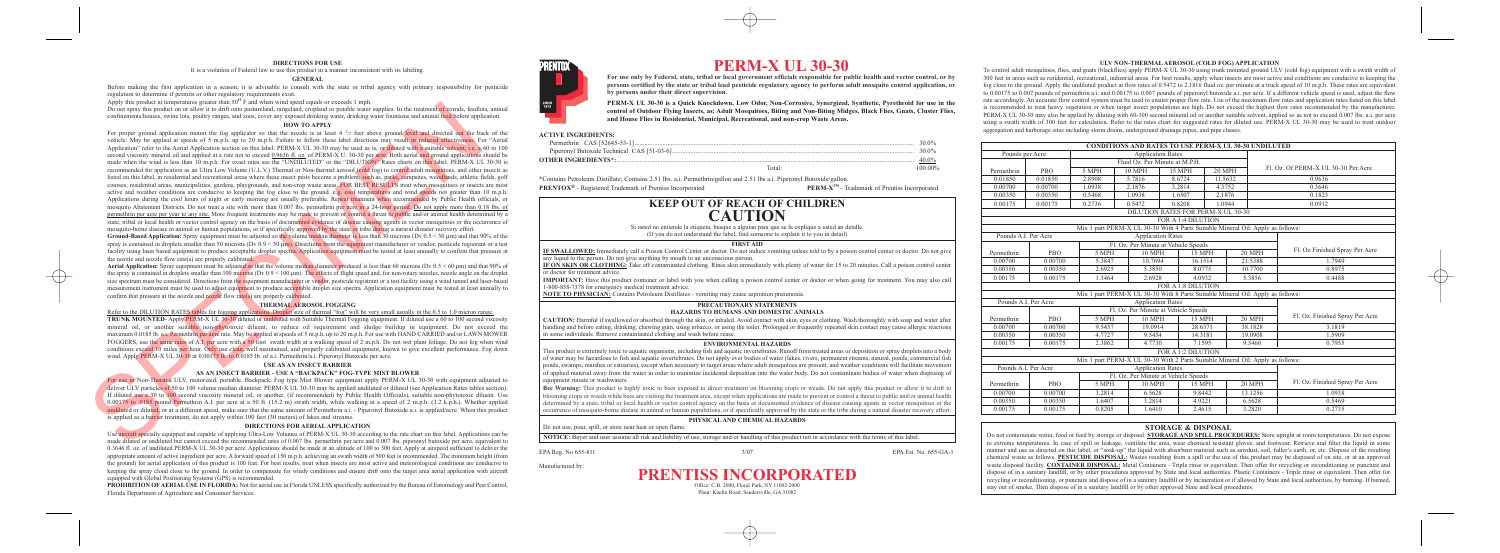#### **DIRECTIONS FOR USE**

It is a violation of Federal law to use this product in a manner inconsistent with its labeling.

### **GENERAL**

Before making the first application in a season, it is advisable to consult with the state or tribal agency with primary responsibility for pesticide regulation to determine if permits or other regulatory requirements exist.

Apply this product at temperatures greater than 50<sup>o</sup> F and when wind speed equals or exceeds 1 mph.

Do not spray this product on or allow it to drift onto pastureland, rangeland, cropland or potable water supplies. In the treatment of corrals, feedlots, animal confinements/houses, swine lots, poultry ranges, and zoos, cover any exposed drinking water, drinking water fountains and animal feed before application.

#### **HOW TO APPLY**

For proper ground application mount the fog applicator so that the nozzle is at least 4 1/2 feet above ground level and directed out the back of the vehicle. May be applied at speeds of 5 m.p.h. up to 20 m.p.h. Failure to follow these label directions may result in reduced effectiveness. For "Aerial Application" refer to the Aerial Application section on this label. PERM-X UL 30-30 may be used as is, or diluted with a suitable solvent, i.e. a 60 to 100 second viscosity mineral oil and applied at a rate not to exceed 0.9636 fl. oz. of PERM-X U. 30-30 per acre. Both aerial and ground applications should be made when the wind is less than 10 m.p.h. For exact rates see the "UNDILUTED" or the "DILUTION" Rates charts on this label. PERM-X UL 30-30 is recommended for application as an Ultra Low Volume (U.L.V.) Thermal or Non-thermal aerosol (cold fog) to control adult mosquitoes, and other insects as listed on this label, in residential and recreational areas where these insect pests become a problem; such as, parks, campsites, woodlands, athletic fields, golf courses, residential areas, municipalities, gardens, playgrounds, and non-crop waste areas. FOR BEST RESULTS treat when mosquitoes or insects are most active and weather conditions are conducive to keeping the fog close to the ground. e.g. cool temperatures and wind speeds not greater than 10 m.p.h. Applications during the cool hours of night or early morning are usually preferable. Repeat treatment when recommended by Public Health officials, or mosquito Abatement Districts. Do not treat a site with more than 0.007 lbs. permethrin per acre in a 24-hour period. Do not apply more than 0.18 lbs. of permethrin per acre per year to any site. More frequent treatments may be made to prevent or control a threat to public and/or animal health determined by a state, tribal or local health or vector control agency on the basis of documented evidence of disease causing agents in vector mosquitoes or the occurrence of mosquito-borne disease in animal or human populations, or if specifically approved by the state or tribe during a natural disaster recovery effort. The mass of the matrix in the two-follows are not the matrix in the control of the matrix in the control of the matrix in the matrix in the control of the matrix in the control of the matrix in the control of the matrix i

Ground-Based Application: Spray equipment must be adjusted so the volume median diameter is less than 30 microns (Dv 0.5 < 30 µm) and that 90% of the spray is contained in droplets smaller than 50 microns (Dv  $0.9 < 50 \mu m$ ). Directions from the equipment manufacturer or vendor, pesticide registrant or a test facility using laser based equipment to produce acceptable droplet spectra. Application equipment must be tested at least annually to confirm that pressure at the nozzle and nozzle flow rate(s) are properly calibrated.

Aerial Application: Spray equipment must be adjusted so that the volume median diameter produced is less than 60 microns (Dv 0.5 < 60 µm) and that 90% of the spray is contained in droplets smaller than 100 microns (Dv  $0.9 < 100 \mu m$ ). The effects of flight speed and, for non-rotary nozzles, nozzle angle on the droplet size spectrum must be considered. Directions from the equipment manufacturer or vendor, pesticide registrant or a test facility using a wind tunnel and laser-based measurement instrument must be used to adjust equipment to produce acceptable droplet size spectra. Application equipment must be tested at least annually to confirm that pressure at the nozzle and nozzle flow rate(s) are properly calibrated.

#### **THERMAL AEROSOL FOGGING**

Refer to the DILUTION RATES tables for fogging applications. Droplet size of thermal "fog" will be very small usually in the 0.5 to 1.0 micron range. **TRUNK MOUNTED**- Apply PERM-X UL 30-30 diluted or undiluted with Suitable Thermal Fogging equipment. If diluted use a 60 to 100 second viscosity mineral oil, or another suitable non-phytotoxic diluent, to reduce oil requirement and sludge buildup in equipment. Do not exceed the maximum 0.0185 lb. a.i. Permethrin per acre rate. May be applied at speeds of 5 m.p.h. up to 20 m.p.h. For use with HAND CARRIED and/or LAWN MOWER FOGGERS, use the same rates of A.I. per acre with a 50 foot swath width at a walking speed of 2 m.p.h. Do not wet plant foliage. Do not fog when wind conditions exceed 10 miles per hour. Only use clean, well maintained, and properly calibrated equipment, known to give excellent performance. Fog down wind. Apply PERM-X UL 30-30 at 0.00175 lb. to 0.0185 lb. of a.i. Permethrin/a.i. Piperonyl Butoxide per acre.

# **USE AS AN INSECT BARRIER**

# **AS AN INSECT BARRIER - USE A "BACKPACK" FOG-TYPE MIST BLOWER**

For use in Non-Thermal ULV, motorized, portable, Backpack, Fog type Mist Blower equipment apply PERM-X UL 30-30 with equipment adjusted to deliver ULV particles of 50 to 100 volume median diameter. PERM-X UL 30-30 may be applied undiluted or diluted (see Application Rates tables section). If diluted use a 30 to 100 second viscosity mineral oil, or another, (if recommended) by Public Health Officials), suitable non-phytotoxic diluent. Use 0.00175 to .0185 pound Permethrin A.I. per acre at a 50 ft.  $(15.2 \text{ m})$  swath width, while walking at a speed of 2 m.p.h.  $(3.2 \text{ k.p.h.})$ . Whether applied undiluted or diluted, or at a different speed, make sure that the same amount of Permethrin a.i. - Piperonyl Butoxide a.i. is applied/acre. When this product is applied as a barrier treatment, do not apply within 100 feet (30 meters) of lakes and streams.

#### **DIRECTIONS FOR AERIAL APPLICATION**

Use aircraft specially equipped and capable of applying Ultra-Low Volumes of PERM-X UL 30-30 according to the rate chart on this label. Applications can be made diluted or undiluted but cannot exceed the recommended rates of 0.007 lbs. permethrin per acre and 0.007 lbs. piperonyl butoxide per acre, equivalent to 0.3646 fl. oz. of undiluted PERM-X UL 30-30 per acre. Applications should be made at an altitude of 100 to 300 feet. Apply at airspeed sufficient to deliver the appropriate amount of active ingredient per acre. A forward speed of 150 m.p.h. achieving an swath width of 500 feet is recommended. The minimum height (from the ground) for aerial application of this product is 100 feet. For best results, treat when insects are most active and meteorological conditions are conducive to keeping the spray cloud close to the ground. In order to compensate for windy conditions and ensure drift onto the target area aerial application with aircraft equipped with Global Positioning Systems (GPS) is recommended.

**PROHIBITION OF AERIAL USE IN FLORIDA:** Not for aerial use in Florida UNLESS specifically authorized by the Bureau of Entomology and Pest Control, Florida Department of Agriculture and Consumer Services.